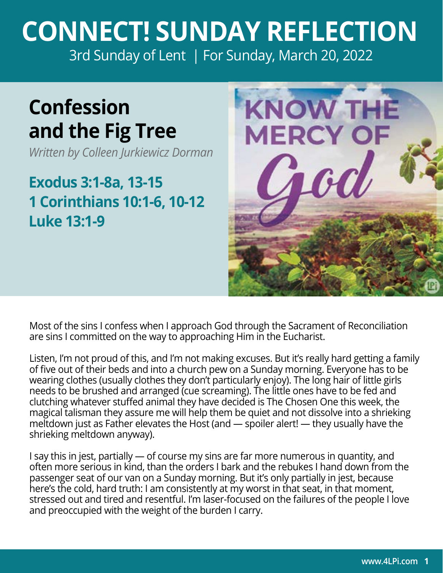## **CONNECT! SUNDAY REFLECTION** [3rd Sunday of Lent | For Sunday, March 20, 2022](https://bible.usccb.org/bible/readings/032022-YearC.cfm)

## **Confession and the Fig Tree**

*Written by Colleen Jurkiewicz Dorman*

## **Exodus 3:1-8a, 13-15 1 Corinthians 10:1-6, 10-12 Luke 13:1-9**



Most of the sins I confess when I approach God through the Sacrament of Reconciliation are sins I committed on the way to approaching Him in the Eucharist.

Listen, I'm not proud of this, and I'm not making excuses. But it's really hard getting a family of five out of their beds and into a church pew on a Sunday morning. Everyone has to be wearing clothes (usually clothes they don't particularly enjoy). The long hair of little girls needs to be brushed and arranged (cue screaming). The little ones have to be fed and clutching whatever stuffed animal they have decided is The Chosen One this week, the magical talisman they assure me will help them be quiet and not dissolve into a shrieking meltdown just as Father elevates the Host (and — spoiler alert! — they usually have the shrieking meltdown anyway).

I say this in jest, partially — of course my sins are far more numerous in quantity, and often more serious in kind, than the orders I bark and the rebukes I hand down from the passenger seat of our van on a Sunday morning. But it's only partially in jest, because here's the cold, hard truth: I am consistently at my worst in that seat, in that moment, stressed out and tired and resentful. I'm laser-focused on the failures of the people I love and preoccupied with the weight of the burden I carry.